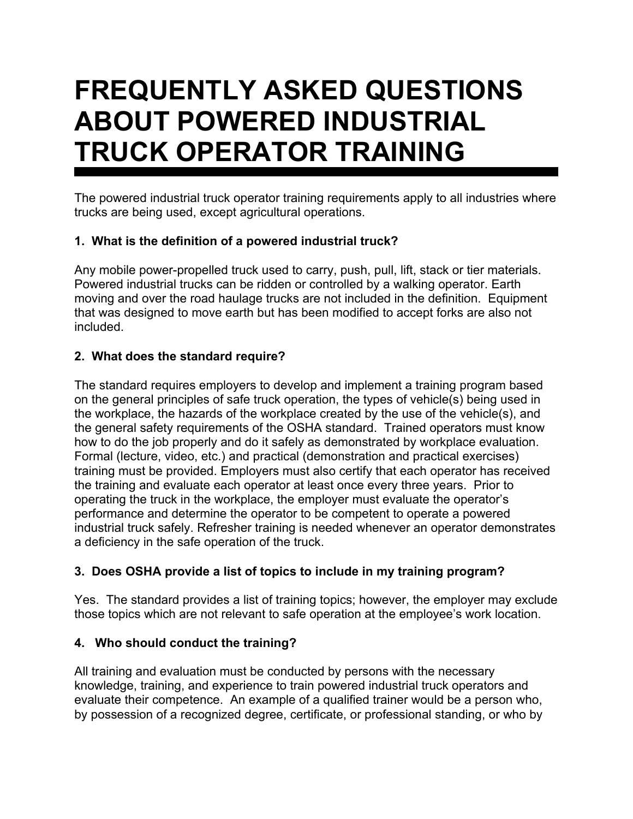# **FREQUENTLY ASKED QUESTIONS ABOUT POWERED INDUSTRIAL TRUCK OPERATOR TRAINING**

The powered industrial truck operator training requirements apply to all industries where trucks are being used, except agricultural operations.

# **1. What is the definition of a powered industrial truck?**

Any mobile power-propelled truck used to carry, push, pull, lift, stack or tier materials. Powered industrial trucks can be ridden or controlled by a walking operator. Earth moving and over the road haulage trucks are not included in the definition. Equipment that was designed to move earth but has been modified to accept forks are also not included.

# **2. What does the standard require?**

The standard requires employers to develop and implement a training program based on the general principles of safe truck operation, the types of vehicle(s) being used in the workplace, the hazards of the workplace created by the use of the vehicle(s), and the general safety requirements of the OSHA standard. Trained operators must know how to do the job properly and do it safely as demonstrated by workplace evaluation. Formal (lecture, video, etc.) and practical (demonstration and practical exercises) training must be provided. Employers must also certify that each operator has received the training and evaluate each operator at least once every three years. Prior to operating the truck in the workplace, the employer must evaluate the operator's performance and determine the operator to be competent to operate a powered industrial truck safely. Refresher training is needed whenever an operator demonstrates a deficiency in the safe operation of the truck.

# **3. Does OSHA provide a list of topics to include in my training program?**

Yes. The standard provides a list of training topics; however, the employer may exclude those topics which are not relevant to safe operation at the employee's work location.

# **4. Who should conduct the training?**

All training and evaluation must be conducted by persons with the necessary knowledge, training, and experience to train powered industrial truck operators and evaluate their competence. An example of a qualified trainer would be a person who, by possession of a recognized degree, certificate, or professional standing, or who by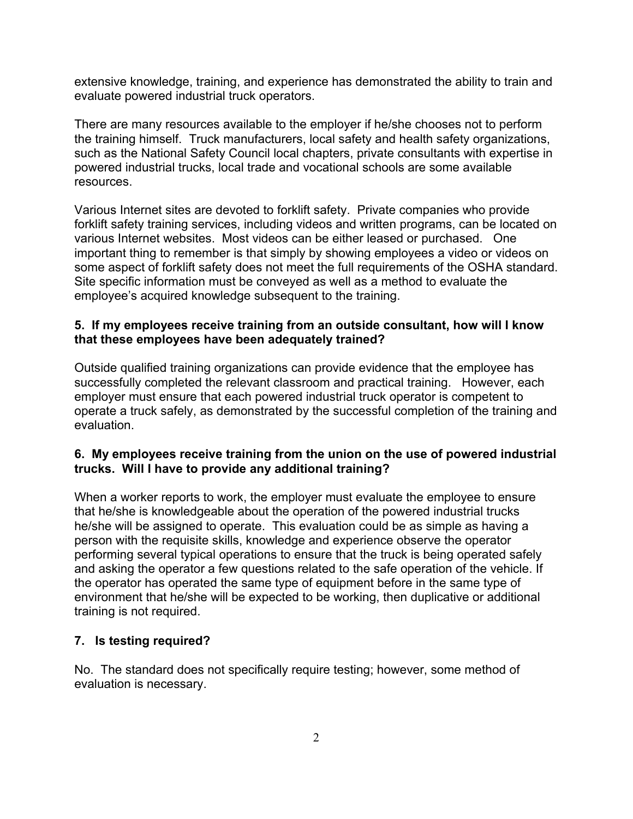extensive knowledge, training, and experience has demonstrated the ability to train and evaluate powered industrial truck operators.

There are many resources available to the employer if he/she chooses not to perform the training himself. Truck manufacturers, local safety and health safety organizations, such as the National Safety Council local chapters, private consultants with expertise in powered industrial trucks, local trade and vocational schools are some available resources.

Various Internet sites are devoted to forklift safety. Private companies who provide forklift safety training services, including videos and written programs, can be located on various Internet websites. Most videos can be either leased or purchased. One important thing to remember is that simply by showing employees a video or videos on some aspect of forklift safety does not meet the full requirements of the OSHA standard. Site specific information must be conveyed as well as a method to evaluate the employee's acquired knowledge subsequent to the training.

#### **5. If my employees receive training from an outside consultant, how will I know that these employees have been adequately trained?**

Outside qualified training organizations can provide evidence that the employee has successfully completed the relevant classroom and practical training. However, each employer must ensure that each powered industrial truck operator is competent to operate a truck safely, as demonstrated by the successful completion of the training and evaluation.

#### **6. My employees receive training from the union on the use of powered industrial trucks. Will I have to provide any additional training?**

When a worker reports to work, the employer must evaluate the employee to ensure that he/she is knowledgeable about the operation of the powered industrial trucks he/she will be assigned to operate. This evaluation could be as simple as having a person with the requisite skills, knowledge and experience observe the operator performing several typical operations to ensure that the truck is being operated safely and asking the operator a few questions related to the safe operation of the vehicle. If the operator has operated the same type of equipment before in the same type of environment that he/she will be expected to be working, then duplicative or additional training is not required.

# **7. Is testing required?**

No. The standard does not specifically require testing; however, some method of evaluation is necessary.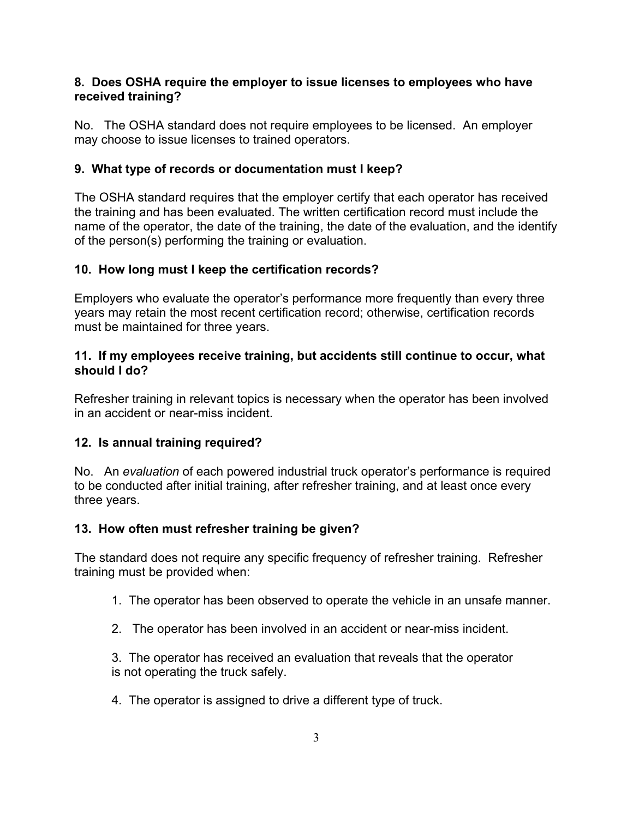#### **8. Does OSHA require the employer to issue licenses to employees who have received training?**

No. The OSHA standard does not require employees to be licensed. An employer may choose to issue licenses to trained operators.

#### **9. What type of records or documentation must I keep?**

The OSHA standard requires that the employer certify that each operator has received the training and has been evaluated. The written certification record must include the name of the operator, the date of the training, the date of the evaluation, and the identify of the person(s) performing the training or evaluation.

#### **10. How long must I keep the certification records?**

Employers who evaluate the operator's performance more frequently than every three years may retain the most recent certification record; otherwise, certification records must be maintained for three years.

#### **11. If my employees receive training, but accidents still continue to occur, what should I do?**

Refresher training in relevant topics is necessary when the operator has been involved in an accident or near-miss incident.

# **12. Is annual training required?**

No. An *evaluation* of each powered industrial truck operator's performance is required to be conducted after initial training, after refresher training, and at least once every three years.

# **13. How often must refresher training be given?**

The standard does not require any specific frequency of refresher training. Refresher training must be provided when:

- 1. The operator has been observed to operate the vehicle in an unsafe manner.
- 2. The operator has been involved in an accident or near-miss incident.

3. The operator has received an evaluation that reveals that the operator is not operating the truck safely.

4. The operator is assigned to drive a different type of truck.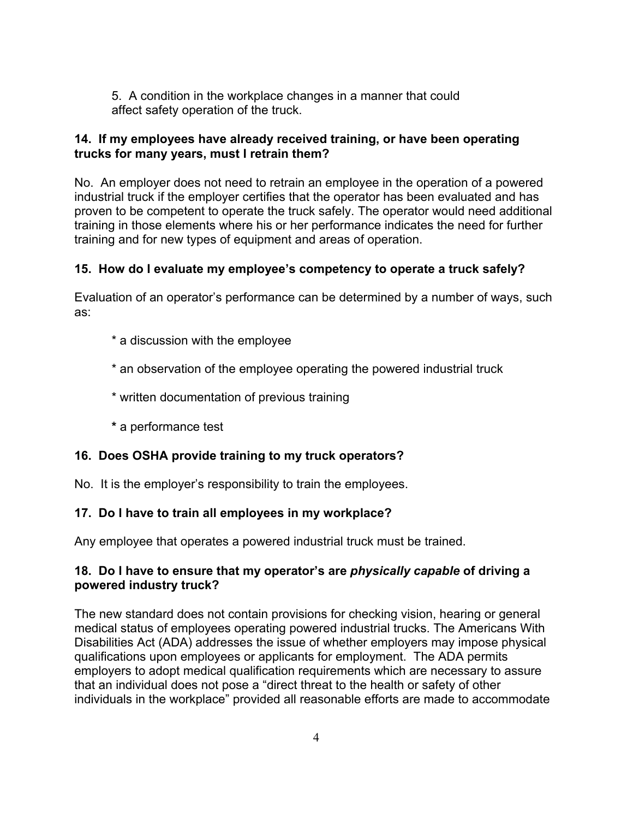5. A condition in the workplace changes in a manner that could affect safety operation of the truck.

#### **14. If my employees have already received training, or have been operating trucks for many years, must I retrain them?**

No. An employer does not need to retrain an employee in the operation of a powered industrial truck if the employer certifies that the operator has been evaluated and has proven to be competent to operate the truck safely. The operator would need additional training in those elements where his or her performance indicates the need for further training and for new types of equipment and areas of operation.

# **15. How do I evaluate my employee's competency to operate a truck safely?**

Evaluation of an operator's performance can be determined by a number of ways, such as:

- \* a discussion with the employee
- \* an observation of the employee operating the powered industrial truck
- \* written documentation of previous training
- **\*** a performance test

#### **16. Does OSHA provide training to my truck operators?**

No. It is the employer's responsibility to train the employees.

#### **17. Do I have to train all employees in my workplace?**

Any employee that operates a powered industrial truck must be trained.

#### **18. Do I have to ensure that my operator's are** *physically capable* **of driving a powered industry truck?**

The new standard does not contain provisions for checking vision, hearing or general medical status of employees operating powered industrial trucks. The Americans With Disabilities Act (ADA) addresses the issue of whether employers may impose physical qualifications upon employees or applicants for employment. The ADA permits employers to adopt medical qualification requirements which are necessary to assure that an individual does not pose a "direct threat to the health or safety of other individuals in the workplace" provided all reasonable efforts are made to accommodate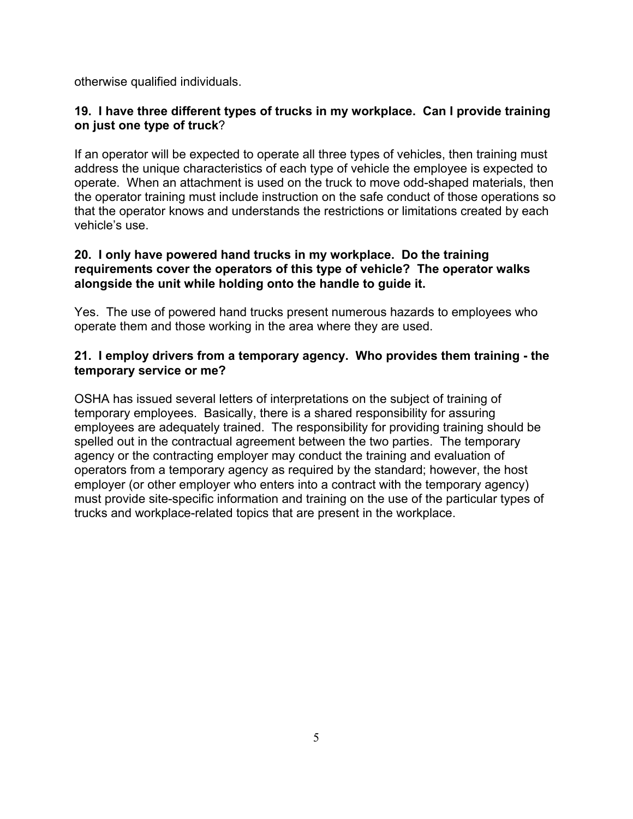otherwise qualified individuals.

#### **19. I have three different types of trucks in my workplace. Can I provide training on just one type of truck**?

If an operator will be expected to operate all three types of vehicles, then training must address the unique characteristics of each type of vehicle the employee is expected to operate. When an attachment is used on the truck to move odd-shaped materials, then the operator training must include instruction on the safe conduct of those operations so that the operator knows and understands the restrictions or limitations created by each vehicle's use.

#### **20. I only have powered hand trucks in my workplace. Do the training requirements cover the operators of this type of vehicle? The operator walks alongside the unit while holding onto the handle to guide it.**

Yes. The use of powered hand trucks present numerous hazards to employees who operate them and those working in the area where they are used.

#### **21. I employ drivers from a temporary agency. Who provides them training - the temporary service or me?**

OSHA has issued several letters of interpretations on the subject of training of temporary employees. Basically, there is a shared responsibility for assuring employees are adequately trained. The responsibility for providing training should be spelled out in the contractual agreement between the two parties. The temporary agency or the contracting employer may conduct the training and evaluation of operators from a temporary agency as required by the standard; however, the host employer (or other employer who enters into a contract with the temporary agency) must provide site-specific information and training on the use of the particular types of trucks and workplace-related topics that are present in the workplace.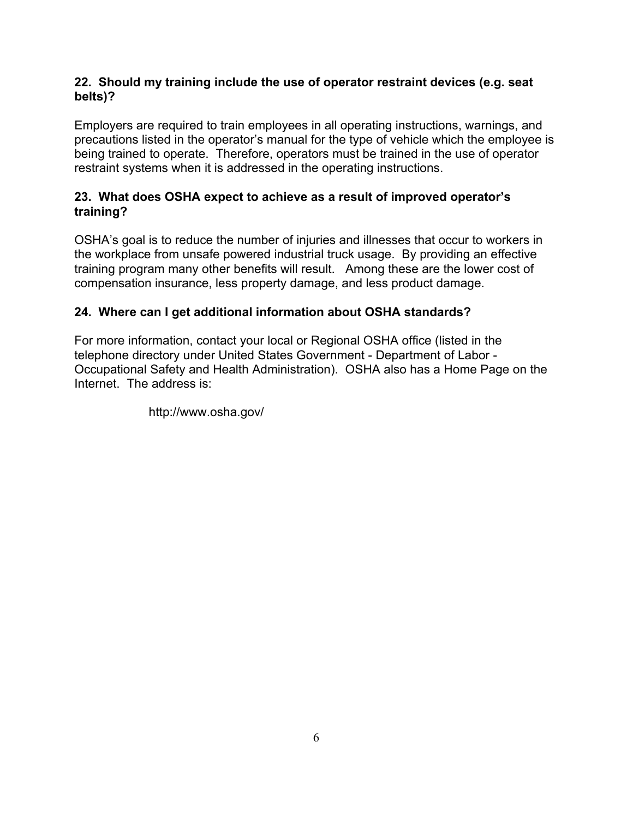#### **22. Should my training include the use of operator restraint devices (e.g. seat belts)?**

Employers are required to train employees in all operating instructions, warnings, and precautions listed in the operator's manual for the type of vehicle which the employee is being trained to operate. Therefore, operators must be trained in the use of operator restraint systems when it is addressed in the operating instructions.

#### **23. What does OSHA expect to achieve as a result of improved operator's training?**

OSHA's goal is to reduce the number of injuries and illnesses that occur to workers in the workplace from unsafe powered industrial truck usage. By providing an effective training program many other benefits will result. Among these are the lower cost of compensation insurance, less property damage, and less product damage.

# **24. Where can I get additional information about OSHA standards?**

For more information, contact your local or Regional OSHA office (listed in the telephone directory under United States Government - Department of Labor - Occupational Safety and Health Administration). OSHA also has a Home Page on the Internet. The address is:

http://www.osha.gov/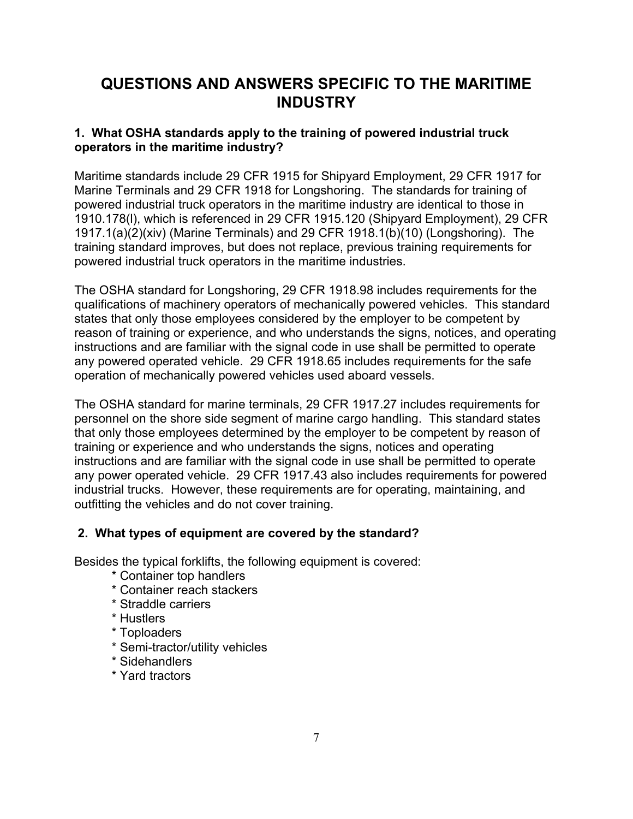# **QUESTIONS AND ANSWERS SPECIFIC TO THE MARITIME INDUSTRY**

# **1. What OSHA standards apply to the training of powered industrial truck operators in the maritime industry?**

Maritime standards include 29 CFR 1915 for Shipyard Employment, 29 CFR 1917 for Marine Terminals and 29 CFR 1918 for Longshoring. The standards for training of powered industrial truck operators in the maritime industry are identical to those in 1910.178(l), which is referenced in 29 CFR 1915.120 (Shipyard Employment), 29 CFR 1917.1(a)(2)(xiv) (Marine Terminals) and 29 CFR 1918.1(b)(10) (Longshoring). The training standard improves, but does not replace, previous training requirements for powered industrial truck operators in the maritime industries.

The OSHA standard for Longshoring, 29 CFR 1918.98 includes requirements for the qualifications of machinery operators of mechanically powered vehicles. This standard states that only those employees considered by the employer to be competent by reason of training or experience, and who understands the signs, notices, and operating instructions and are familiar with the signal code in use shall be permitted to operate any powered operated vehicle. 29 CFR 1918.65 includes requirements for the safe operation of mechanically powered vehicles used aboard vessels.

The OSHA standard for marine terminals, 29 CFR 1917.27 includes requirements for personnel on the shore side segment of marine cargo handling. This standard states that only those employees determined by the employer to be competent by reason of training or experience and who understands the signs, notices and operating instructions and are familiar with the signal code in use shall be permitted to operate any power operated vehicle. 29 CFR 1917.43 also includes requirements for powered industrial trucks. However, these requirements are for operating, maintaining, and outfitting the vehicles and do not cover training.

# **2. What types of equipment are covered by the standard?**

Besides the typical forklifts, the following equipment is covered:

- \* Container top handlers
- \* Container reach stackers
- \* Straddle carriers
- \* Hustlers
- \* Toploaders
- \* Semi-tractor/utility vehicles
- \* Sidehandlers
- \* Yard tractors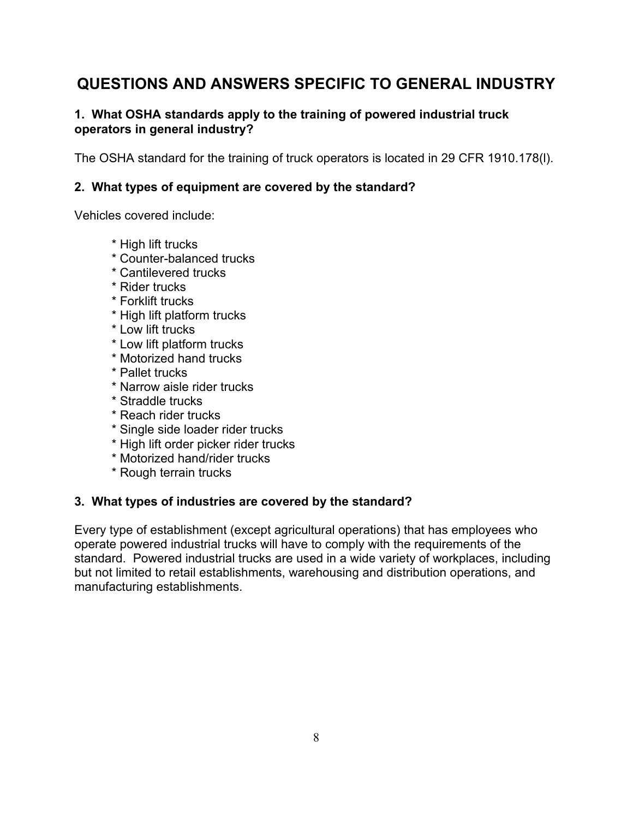# **QUESTIONS AND ANSWERS SPECIFIC TO GENERAL INDUSTRY**

# **1. What OSHA standards apply to the training of powered industrial truck operators in general industry?**

The OSHA standard for the training of truck operators is located in 29 CFR 1910.178(l).

#### **2. What types of equipment are covered by the standard?**

Vehicles covered include:

- \* High lift trucks
- \* Counter-balanced trucks
- \* Cantilevered trucks
- \* Rider trucks
- \* Forklift trucks
- \* High lift platform trucks
- \* Low lift trucks
- \* Low lift platform trucks
- \* Motorized hand trucks
- \* Pallet trucks
- \* Narrow aisle rider trucks
- \* Straddle trucks
- \* Reach rider trucks
- \* Single side loader rider trucks
- \* High lift order picker rider trucks
- \* Motorized hand/rider trucks
- \* Rough terrain trucks

#### **3. What types of industries are covered by the standard?**

Every type of establishment (except agricultural operations) that has employees who operate powered industrial trucks will have to comply with the requirements of the standard. Powered industrial trucks are used in a wide variety of workplaces, including but not limited to retail establishments, warehousing and distribution operations, and manufacturing establishments.